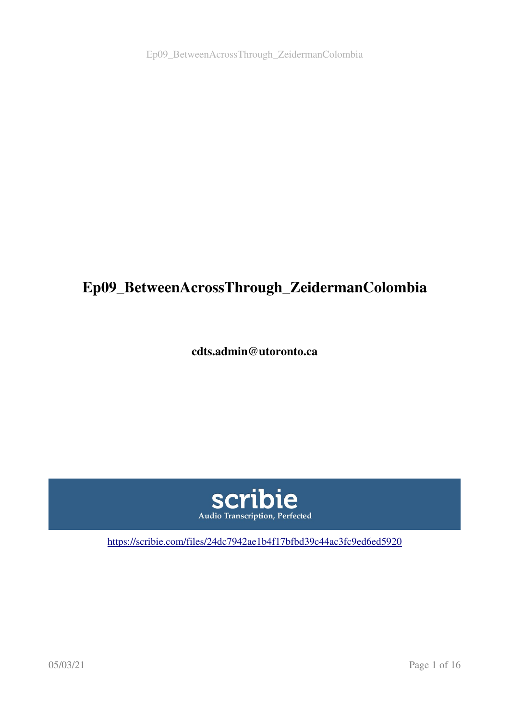Ep09\_BetweenAcrossThrough\_ZeidermanColombia

# Ep09\_BetweenAcrossThrough\_ZeidermanColombia

cdts.admin@utoronto.ca



<https://scribie.com/files/24dc7942ae1b4f17bfbd39c44ac3fc9ed6ed5920>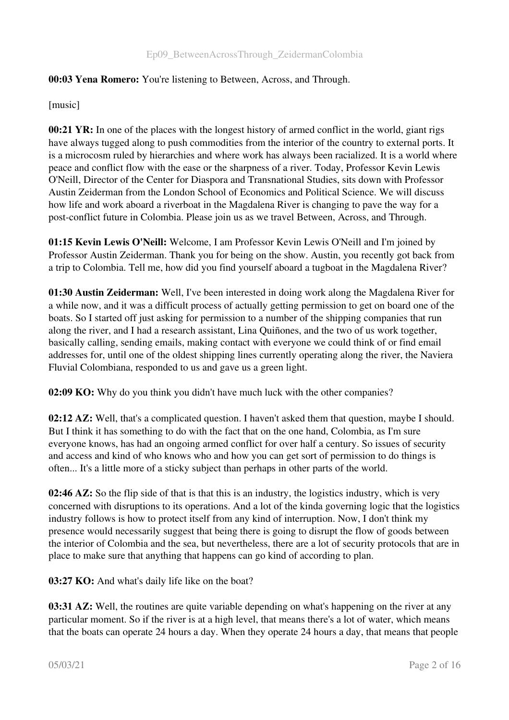### 00:03 Yena Romero: You're listening to Between, Across, and Through.

### [music]

00:21 YR: In one of the places with the longest history of armed conflict in the world, giant rigs have always tugged along to push commodities from the interior of the country to external ports. It is a microcosm ruled by hierarchies and where work has always been racialized. It is a world where peace and conflict flow with the ease or the sharpness of a river. Today, Professor Kevin Lewis O'Neill, Director of the Center for Diaspora and Transnational Studies, sits down with Professor Austin Zeiderman from the London School of Economics and Political Science. We will discuss how life and work aboard a riverboat in the Magdalena River is changing to pave the way for a post-conflict future in Colombia. Please join us as we travel Between, Across, and Through.

01:15 Kevin Lewis O'Neill: Welcome, I am Professor Kevin Lewis O'Neill and I'm joined by Professor Austin Zeiderman. Thank you for being on the show. Austin, you recently got back from a trip to Colombia. Tell me, how did you find yourself aboard a tugboat in the Magdalena River?

01:30 Austin Zeiderman: Well, I've been interested in doing work along the Magdalena River for a while now, and it was a difficult process of actually getting permission to get on board one of the boats. So I started off just asking for permission to a number of the shipping companies that run along the river, and I had a research assistant, Lina Quiñones, and the two of us work together, basically calling, sending emails, making contact with everyone we could think of or find email addresses for, until one of the oldest shipping lines currently operating along the river, the Naviera Fluvial Colombiana, responded to us and gave us a green light.

02:09 KO: Why do you think you didn't have much luck with the other companies?

02:12 AZ: Well, that's a complicated question. I haven't asked them that question, maybe I should. But I think it has something to do with the fact that on the one hand, Colombia, as I'm sure everyone knows, has had an ongoing armed conflict for over half a century. So issues of security and access and kind of who knows who and how you can get sort of permission to do things is often... It's a little more of a sticky subject than perhaps in other parts of the world.

02:46 AZ: So the flip side of that is that this is an industry, the logistics industry, which is very concerned with disruptions to its operations. And a lot of the kinda governing logic that the logistics industry follows is how to protect itself from any kind of interruption. Now, I don't think my presence would necessarily suggest that being there is going to disrupt the flow of goods between the interior of Colombia and the sea, but nevertheless, there are a lot of security protocols that are in place to make sure that anything that happens can go kind of according to plan.

03:27 KO: And what's daily life like on the boat?

03:31 AZ: Well, the routines are quite variable depending on what's happening on the river at any particular moment. So if the river is at a high level, that means there's a lot of water, which means that the boats can operate 24 hours a day. When they operate 24 hours a day, that means that people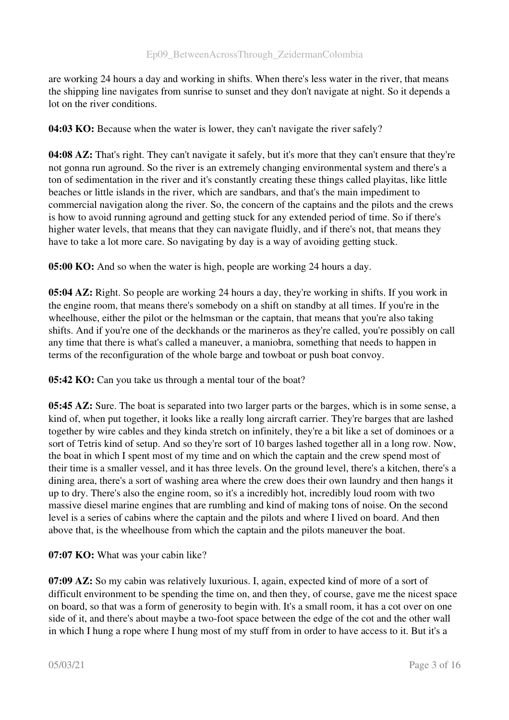are working 24 hours a day and working in shifts. When there's less water in the river, that means the shipping line navigates from sunrise to sunset and they don't navigate at night. So it depends a lot on the river conditions.

04:03 KO: Because when the water is lower, they can't navigate the river safely?

04:08 AZ: That's right. They can't navigate it safely, but it's more that they can't ensure that they're not gonna run aground. So the river is an extremely changing environmental system and there's a ton of sedimentation in the river and it's constantly creating these things called playitas, like little beaches or little islands in the river, which are sandbars, and that's the main impediment to commercial navigation along the river. So, the concern of the captains and the pilots and the crews is how to avoid running aground and getting stuck for any extended period of time. So if there's higher water levels, that means that they can navigate fluidly, and if there's not, that means they have to take a lot more care. So navigating by day is a way of avoiding getting stuck.

05:00 KO: And so when the water is high, people are working 24 hours a day.

05:04 AZ: Right. So people are working 24 hours a day, they're working in shifts. If you work in the engine room, that means there's somebody on a shift on standby at all times. If you're in the wheelhouse, either the pilot or the helmsman or the captain, that means that you're also taking shifts. And if you're one of the deckhands or the marineros as they're called, you're possibly on call any time that there is what's called a maneuver, a maniobra, something that needs to happen in terms of the reconfiguration of the whole barge and towboat or push boat convoy.

05:42 KO: Can you take us through a mental tour of the boat?

05:45 AZ: Sure. The boat is separated into two larger parts or the barges, which is in some sense, a kind of, when put together, it looks like a really long aircraft carrier. They're barges that are lashed together by wire cables and they kinda stretch on infinitely, they're a bit like a set of dominoes or a sort of Tetris kind of setup. And so they're sort of 10 barges lashed together all in a long row. Now, the boat in which I spent most of my time and on which the captain and the crew spend most of their time is a smaller vessel, and it has three levels. On the ground level, there's a kitchen, there's a dining area, there's a sort of washing area where the crew does their own laundry and then hangs it up to dry. There's also the engine room, so it's a incredibly hot, incredibly loud room with two massive diesel marine engines that are rumbling and kind of making tons of noise. On the second level is a series of cabins where the captain and the pilots and where I lived on board. And then above that, is the wheelhouse from which the captain and the pilots maneuver the boat.

07:07 KO: What was your cabin like?

07:09 AZ: So my cabin was relatively luxurious. I, again, expected kind of more of a sort of difficult environment to be spending the time on, and then they, of course, gave me the nicest space on board, so that was a form of generosity to begin with. It's a small room, it has a cot over on one side of it, and there's about maybe a two-foot space between the edge of the cot and the other wall in which I hung a rope where I hung most of my stuff from in order to have access to it. But it's a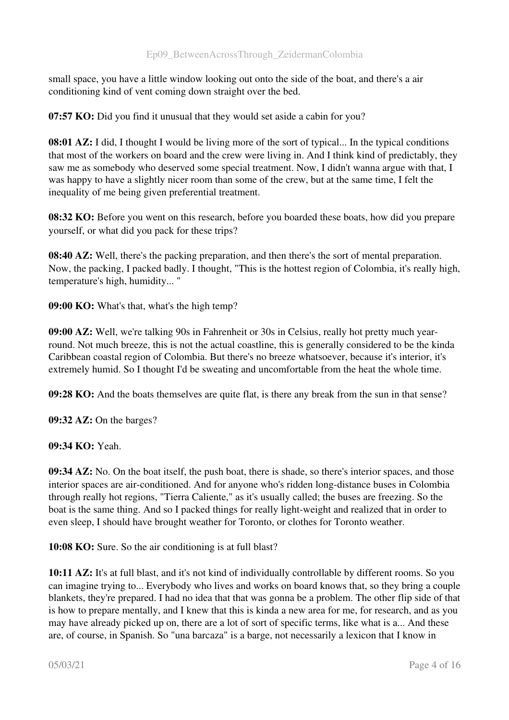small space, you have a little window looking out onto the side of the boat, and there's a air conditioning kind of vent coming down straight over the bed.

07:57 KO: Did you find it unusual that they would set aside a cabin for you?

08:01 AZ: I did, I thought I would be living more of the sort of typical... In the typical conditions that most of the workers on board and the crew were living in. And I think kind of predictably, they saw me as somebody who deserved some special treatment. Now, I didn't wanna argue with that, I was happy to have a slightly nicer room than some of the crew, but at the same time, I felt the inequality of me being given preferential treatment.

08:32 KO: Before you went on this research, before you boarded these boats, how did you prepare yourself, or what did you pack for these trips?

08:40 AZ: Well, there's the packing preparation, and then there's the sort of mental preparation. Now, the packing, I packed badly. I thought, "This is the hottest region of Colombia, it's really high, temperature's high, humidity... "

09:00 KO: What's that, what's the high temp?

09:00 AZ: Well, we're talking 90s in Fahrenheit or 30s in Celsius, really hot pretty much yearround. Not much breeze, this is not the actual coastline, this is generally considered to be the kinda Caribbean coastal region of Colombia. But there's no breeze whatsoever, because it's interior, it's extremely humid. So I thought I'd be sweating and uncomfortable from the heat the whole time.

09:28 KO: And the boats themselves are quite flat, is there any break from the sun in that sense?

09:32 AZ: On the barges?

09:34 KO: Yeah.

09:34 AZ: No. On the boat itself, the push boat, there is shade, so there's interior spaces, and those interior spaces are air-conditioned. And for anyone who's ridden long-distance buses in Colombia through really hot regions, "Tierra Caliente," as it's usually called; the buses are freezing. So the boat is the same thing. And so I packed things for really light-weight and realized that in order to even sleep, I should have brought weather for Toronto, or clothes for Toronto weather.

10:08 KO: Sure. So the air conditioning is at full blast?

10:11 AZ: It's at full blast, and it's not kind of individually controllable by different rooms. So you can imagine trying to... Everybody who lives and works on board knows that, so they bring a couple blankets, they're prepared. I had no idea that that was gonna be a problem. The other flip side of that is how to prepare mentally, and I knew that this is kinda a new area for me, for research, and as you may have already picked up on, there are a lot of sort of specific terms, like what is a... And these are, of course, in Spanish. So "una barcaza" is a barge, not necessarily a lexicon that I know in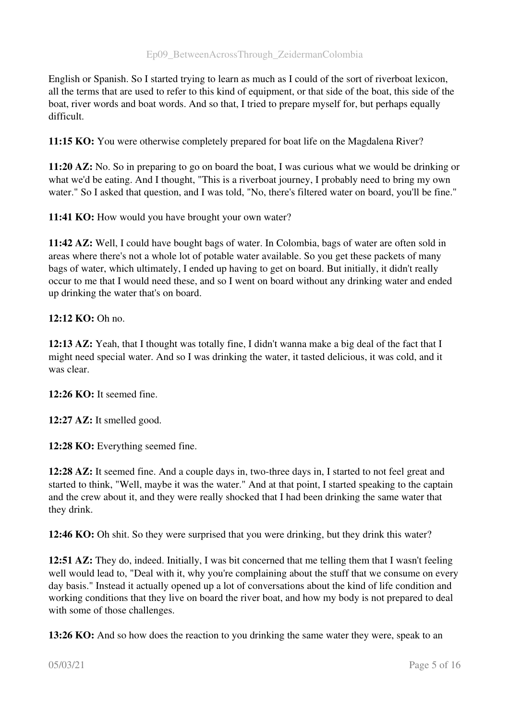English or Spanish. So I started trying to learn as much as I could of the sort of riverboat lexicon, all the terms that are used to refer to this kind of equipment, or that side of the boat, this side of the boat, river words and boat words. And so that, I tried to prepare myself for, but perhaps equally difficult.

11:15 KO: You were otherwise completely prepared for boat life on the Magdalena River?

11:20 AZ: No. So in preparing to go on board the boat, I was curious what we would be drinking or what we'd be eating. And I thought, "This is a riverboat journey, I probably need to bring my own water." So I asked that question, and I was told, "No, there's filtered water on board, you'll be fine."

11:41 KO: How would you have brought your own water?

11:42 AZ: Well, I could have bought bags of water. In Colombia, bags of water are often sold in areas where there's not a whole lot of potable water available. So you get these packets of many bags of water, which ultimately, I ended up having to get on board. But initially, it didn't really occur to me that I would need these, and so I went on board without any drinking water and ended up drinking the water that's on board.

12:12 KO: Oh no.

12:13 AZ: Yeah, that I thought was totally fine, I didn't wanna make a big deal of the fact that I might need special water. And so I was drinking the water, it tasted delicious, it was cold, and it was clear.

12:26 KO: It seemed fine.

12:27 AZ: It smelled good.

12:28 KO: Everything seemed fine.

12:28 AZ: It seemed fine. And a couple days in, two-three days in, I started to not feel great and started to think, "Well, maybe it was the water." And at that point, I started speaking to the captain and the crew about it, and they were really shocked that I had been drinking the same water that they drink.

12:46 KO: Oh shit. So they were surprised that you were drinking, but they drink this water?

12:51 AZ: They do, indeed. Initially, I was bit concerned that me telling them that I wasn't feeling well would lead to, "Deal with it, why you're complaining about the stuff that we consume on every day basis." Instead it actually opened up a lot of conversations about the kind of life condition and working conditions that they live on board the river boat, and how my body is not prepared to deal with some of those challenges.

13:26 KO: And so how does the reaction to you drinking the same water they were, speak to an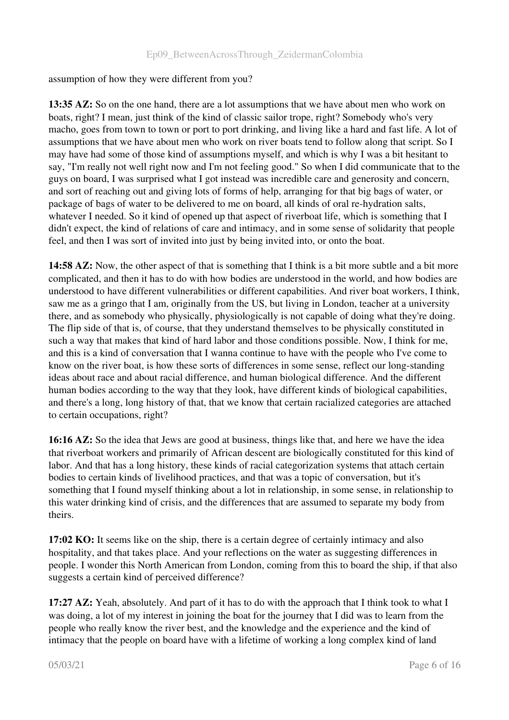assumption of how they were different from you?

13:35 AZ: So on the one hand, there are a lot assumptions that we have about men who work on boats, right? I mean, just think of the kind of classic sailor trope, right? Somebody who's very macho, goes from town to town or port to port drinking, and living like a hard and fast life. A lot of assumptions that we have about men who work on river boats tend to follow along that script. So I may have had some of those kind of assumptions myself, and which is why I was a bit hesitant to say, "I'm really not well right now and I'm not feeling good." So when I did communicate that to the guys on board, I was surprised what I got instead was incredible care and generosity and concern, and sort of reaching out and giving lots of forms of help, arranging for that big bags of water, or package of bags of water to be delivered to me on board, all kinds of oral re-hydration salts, whatever I needed. So it kind of opened up that aspect of riverboat life, which is something that I didn't expect, the kind of relations of care and intimacy, and in some sense of solidarity that people feel, and then I was sort of invited into just by being invited into, or onto the boat.

14:58 AZ: Now, the other aspect of that is something that I think is a bit more subtle and a bit more complicated, and then it has to do with how bodies are understood in the world, and how bodies are understood to have different vulnerabilities or different capabilities. And river boat workers, I think, saw me as a gringo that I am, originally from the US, but living in London, teacher at a university there, and as somebody who physically, physiologically is not capable of doing what they're doing. The flip side of that is, of course, that they understand themselves to be physically constituted in such a way that makes that kind of hard labor and those conditions possible. Now, I think for me, and this is a kind of conversation that I wanna continue to have with the people who I've come to know on the river boat, is how these sorts of differences in some sense, reflect our long-standing ideas about race and about racial difference, and human biological difference. And the different human bodies according to the way that they look, have different kinds of biological capabilities, and there's a long, long history of that, that we know that certain racialized categories are attached to certain occupations, right?

16:16 AZ: So the idea that Jews are good at business, things like that, and here we have the idea that riverboat workers and primarily of African descent are biologically constituted for this kind of labor. And that has a long history, these kinds of racial categorization systems that attach certain bodies to certain kinds of livelihood practices, and that was a topic of conversation, but it's something that I found myself thinking about a lot in relationship, in some sense, in relationship to this water drinking kind of crisis, and the differences that are assumed to separate my body from theirs.

17:02 KO: It seems like on the ship, there is a certain degree of certainly intimacy and also hospitality, and that takes place. And your reflections on the water as suggesting differences in people. I wonder this North American from London, coming from this to board the ship, if that also suggests a certain kind of perceived difference?

17:27 AZ: Yeah, absolutely. And part of it has to do with the approach that I think took to what I was doing, a lot of my interest in joining the boat for the journey that I did was to learn from the people who really know the river best, and the knowledge and the experience and the kind of intimacy that the people on board have with a lifetime of working a long complex kind of land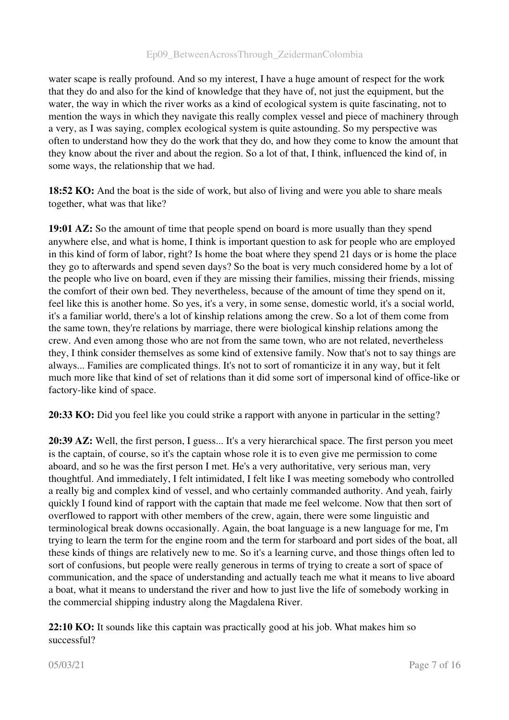water scape is really profound. And so my interest, I have a huge amount of respect for the work that they do and also for the kind of knowledge that they have of, not just the equipment, but the water, the way in which the river works as a kind of ecological system is quite fascinating, not to mention the ways in which they navigate this really complex vessel and piece of machinery through a very, as I was saying, complex ecological system is quite astounding. So my perspective was often to understand how they do the work that they do, and how they come to know the amount that they know about the river and about the region. So a lot of that, I think, influenced the kind of, in some ways, the relationship that we had.

18:52 KO: And the boat is the side of work, but also of living and were you able to share meals together, what was that like?

19:01 AZ: So the amount of time that people spend on board is more usually than they spend anywhere else, and what is home, I think is important question to ask for people who are employed in this kind of form of labor, right? Is home the boat where they spend 21 days or is home the place they go to afterwards and spend seven days? So the boat is very much considered home by a lot of the people who live on board, even if they are missing their families, missing their friends, missing the comfort of their own bed. They nevertheless, because of the amount of time they spend on it, feel like this is another home. So yes, it's a very, in some sense, domestic world, it's a social world, it's a familiar world, there's a lot of kinship relations among the crew. So a lot of them come from the same town, they're relations by marriage, there were biological kinship relations among the crew. And even among those who are not from the same town, who are not related, nevertheless they, I think consider themselves as some kind of extensive family. Now that's not to say things are always... Families are complicated things. It's not to sort of romanticize it in any way, but it felt much more like that kind of set of relations than it did some sort of impersonal kind of office-like or factory-like kind of space.

20:33 KO: Did you feel like you could strike a rapport with anyone in particular in the setting?

20:39 AZ: Well, the first person, I guess... It's a very hierarchical space. The first person you meet is the captain, of course, so it's the captain whose role it is to even give me permission to come aboard, and so he was the first person I met. He's a very authoritative, very serious man, very thoughtful. And immediately, I felt intimidated, I felt like I was meeting somebody who controlled a really big and complex kind of vessel, and who certainly commanded authority. And yeah, fairly quickly I found kind of rapport with the captain that made me feel welcome. Now that then sort of overflowed to rapport with other members of the crew, again, there were some linguistic and terminological break downs occasionally. Again, the boat language is a new language for me, I'm trying to learn the term for the engine room and the term for starboard and port sides of the boat, all these kinds of things are relatively new to me. So it's a learning curve, and those things often led to sort of confusions, but people were really generous in terms of trying to create a sort of space of communication, and the space of understanding and actually teach me what it means to live aboard a boat, what it means to understand the river and how to just live the life of somebody working in the commercial shipping industry along the Magdalena River.

22:10 KO: It sounds like this captain was practically good at his job. What makes him so successful?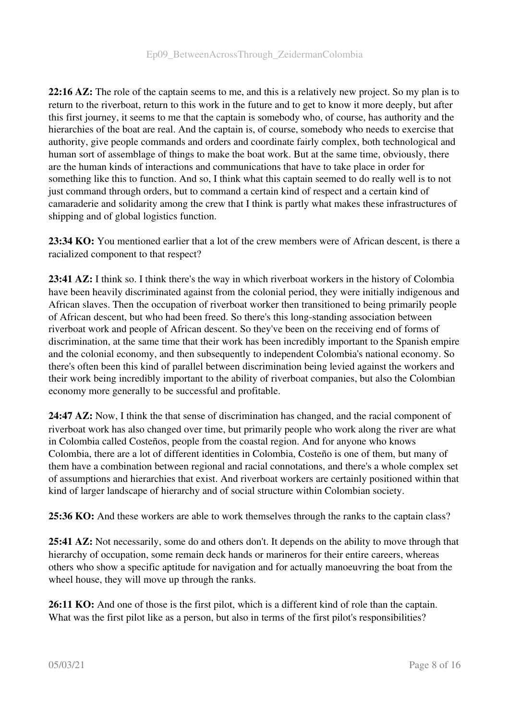22:16 AZ: The role of the captain seems to me, and this is a relatively new project. So my plan is to return to the riverboat, return to this work in the future and to get to know it more deeply, but after this first journey, it seems to me that the captain is somebody who, of course, has authority and the hierarchies of the boat are real. And the captain is, of course, somebody who needs to exercise that authority, give people commands and orders and coordinate fairly complex, both technological and human sort of assemblage of things to make the boat work. But at the same time, obviously, there are the human kinds of interactions and communications that have to take place in order for something like this to function. And so, I think what this captain seemed to do really well is to not just command through orders, but to command a certain kind of respect and a certain kind of camaraderie and solidarity among the crew that I think is partly what makes these infrastructures of shipping and of global logistics function.

23:34 KO: You mentioned earlier that a lot of the crew members were of African descent, is there a racialized component to that respect?

23:41 AZ: I think so. I think there's the way in which riverboat workers in the history of Colombia have been heavily discriminated against from the colonial period, they were initially indigenous and African slaves. Then the occupation of riverboat worker then transitioned to being primarily people of African descent, but who had been freed. So there's this long-standing association between riverboat work and people of African descent. So they've been on the receiving end of forms of discrimination, at the same time that their work has been incredibly important to the Spanish empire and the colonial economy, and then subsequently to independent Colombia's national economy. So there's often been this kind of parallel between discrimination being levied against the workers and their work being incredibly important to the ability of riverboat companies, but also the Colombian economy more generally to be successful and profitable.

24:47 AZ: Now, I think the that sense of discrimination has changed, and the racial component of riverboat work has also changed over time, but primarily people who work along the river are what in Colombia called Costeños, people from the coastal region. And for anyone who knows Colombia, there are a lot of different identities in Colombia, Costeño is one of them, but many of them have a combination between regional and racial connotations, and there's a whole complex set of assumptions and hierarchies that exist. And riverboat workers are certainly positioned within that kind of larger landscape of hierarchy and of social structure within Colombian society.

25:36 KO: And these workers are able to work themselves through the ranks to the captain class?

25:41 AZ: Not necessarily, some do and others don't. It depends on the ability to move through that hierarchy of occupation, some remain deck hands or marineros for their entire careers, whereas others who show a specific aptitude for navigation and for actually manoeuvring the boat from the wheel house, they will move up through the ranks.

26:11 KO: And one of those is the first pilot, which is a different kind of role than the captain. What was the first pilot like as a person, but also in terms of the first pilot's responsibilities?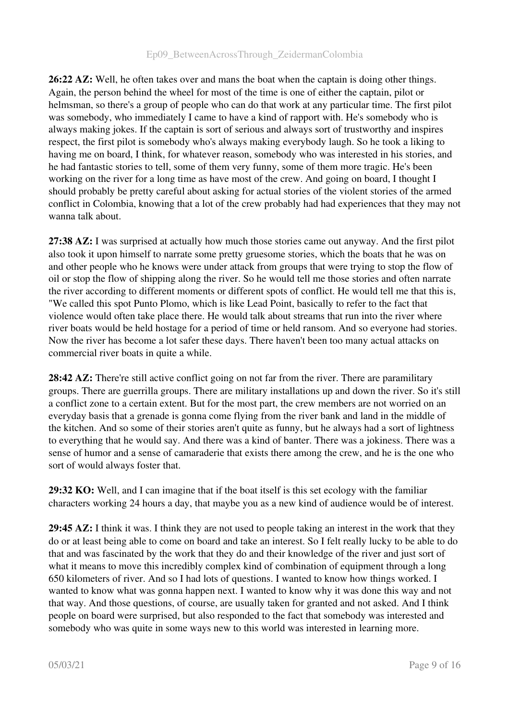26:22 AZ: Well, he often takes over and mans the boat when the captain is doing other things. Again, the person behind the wheel for most of the time is one of either the captain, pilot or helmsman, so there's a group of people who can do that work at any particular time. The first pilot was somebody, who immediately I came to have a kind of rapport with. He's somebody who is always making jokes. If the captain is sort of serious and always sort of trustworthy and inspires respect, the first pilot is somebody who's always making everybody laugh. So he took a liking to having me on board, I think, for whatever reason, somebody who was interested in his stories, and he had fantastic stories to tell, some of them very funny, some of them more tragic. He's been working on the river for a long time as have most of the crew. And going on board, I thought I should probably be pretty careful about asking for actual stories of the violent stories of the armed conflict in Colombia, knowing that a lot of the crew probably had had experiences that they may not wanna talk about.

27:38 AZ: I was surprised at actually how much those stories came out anyway. And the first pilot also took it upon himself to narrate some pretty gruesome stories, which the boats that he was on and other people who he knows were under attack from groups that were trying to stop the flow of oil or stop the flow of shipping along the river. So he would tell me those stories and often narrate the river according to different moments or different spots of conflict. He would tell me that this is, "We called this spot Punto Plomo, which is like Lead Point, basically to refer to the fact that violence would often take place there. He would talk about streams that run into the river where river boats would be held hostage for a period of time or held ransom. And so everyone had stories. Now the river has become a lot safer these days. There haven't been too many actual attacks on commercial river boats in quite a while.

28:42 AZ: There're still active conflict going on not far from the river. There are paramilitary groups. There are guerrilla groups. There are military installations up and down the river. So it's still a conflict zone to a certain extent. But for the most part, the crew members are not worried on an everyday basis that a grenade is gonna come flying from the river bank and land in the middle of the kitchen. And so some of their stories aren't quite as funny, but he always had a sort of lightness to everything that he would say. And there was a kind of banter. There was a jokiness. There was a sense of humor and a sense of camaraderie that exists there among the crew, and he is the one who sort of would always foster that.

29:32 KO: Well, and I can imagine that if the boat itself is this set ecology with the familiar characters working 24 hours a day, that maybe you as a new kind of audience would be of interest.

29:45 AZ: I think it was. I think they are not used to people taking an interest in the work that they do or at least being able to come on board and take an interest. So I felt really lucky to be able to do that and was fascinated by the work that they do and their knowledge of the river and just sort of what it means to move this incredibly complex kind of combination of equipment through a long 650 kilometers of river. And so I had lots of questions. I wanted to know how things worked. I wanted to know what was gonna happen next. I wanted to know why it was done this way and not that way. And those questions, of course, are usually taken for granted and not asked. And I think people on board were surprised, but also responded to the fact that somebody was interested and somebody who was quite in some ways new to this world was interested in learning more.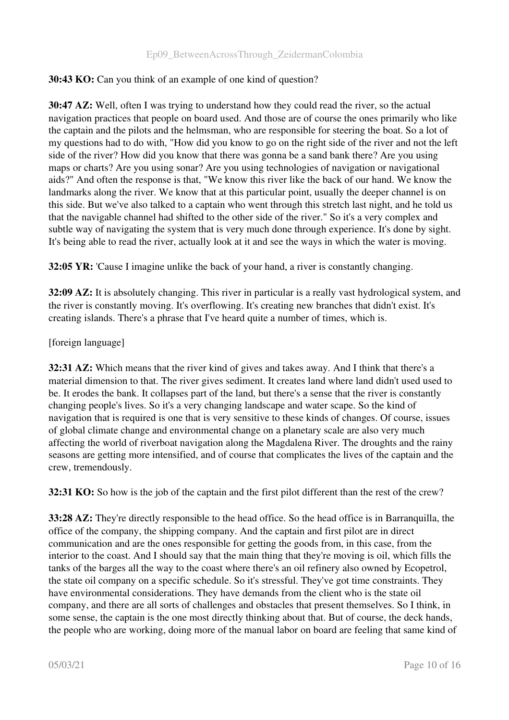#### 30:43 KO: Can you think of an example of one kind of question?

30:47 AZ: Well, often I was trying to understand how they could read the river, so the actual navigation practices that people on board used. And those are of course the ones primarily who like the captain and the pilots and the helmsman, who are responsible for steering the boat. So a lot of my questions had to do with, "How did you know to go on the right side of the river and not the left side of the river? How did you know that there was gonna be a sand bank there? Are you using maps or charts? Are you using sonar? Are you using technologies of navigation or navigational aids?" And often the response is that, "We know this river like the back of our hand. We know the landmarks along the river. We know that at this particular point, usually the deeper channel is on this side. But we've also talked to a captain who went through this stretch last night, and he told us that the navigable channel had shifted to the other side of the river." So it's a very complex and subtle way of navigating the system that is very much done through experience. It's done by sight. It's being able to read the river, actually look at it and see the ways in which the water is moving.

32:05 YR: 'Cause I imagine unlike the back of your hand, a river is constantly changing.

32:09 AZ: It is absolutely changing. This river in particular is a really vast hydrological system, and the river is constantly moving. It's overflowing. It's creating new branches that didn't exist. It's creating islands. There's a phrase that I've heard quite a number of times, which is.

#### [foreign language]

32:31 AZ: Which means that the river kind of gives and takes away. And I think that there's a material dimension to that. The river gives sediment. It creates land where land didn't used used to be. It erodes the bank. It collapses part of the land, but there's a sense that the river is constantly changing people's lives. So it's a very changing landscape and water scape. So the kind of navigation that is required is one that is very sensitive to these kinds of changes. Of course, issues of global climate change and environmental change on a planetary scale are also very much affecting the world of riverboat navigation along the Magdalena River. The droughts and the rainy seasons are getting more intensified, and of course that complicates the lives of the captain and the crew, tremendously.

32:31 KO: So how is the job of the captain and the first pilot different than the rest of the crew?

33:28 AZ: They're directly responsible to the head office. So the head office is in Barranquilla, the office of the company, the shipping company. And the captain and first pilot are in direct communication and are the ones responsible for getting the goods from, in this case, from the interior to the coast. And I should say that the main thing that they're moving is oil, which fills the tanks of the barges all the way to the coast where there's an oil refinery also owned by Ecopetrol, the state oil company on a specific schedule. So it's stressful. They've got time constraints. They have environmental considerations. They have demands from the client who is the state oil company, and there are all sorts of challenges and obstacles that present themselves. So I think, in some sense, the captain is the one most directly thinking about that. But of course, the deck hands, the people who are working, doing more of the manual labor on board are feeling that same kind of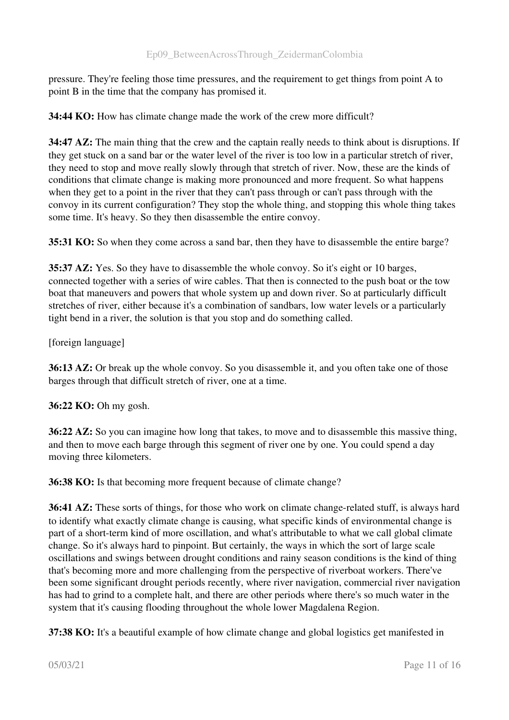pressure. They're feeling those time pressures, and the requirement to get things from point A to point B in the time that the company has promised it.

34:44 KO: How has climate change made the work of the crew more difficult?

34:47 AZ: The main thing that the crew and the captain really needs to think about is disruptions. If they get stuck on a sand bar or the water level of the river is too low in a particular stretch of river, they need to stop and move really slowly through that stretch of river. Now, these are the kinds of conditions that climate change is making more pronounced and more frequent. So what happens when they get to a point in the river that they can't pass through or can't pass through with the convoy in its current configuration? They stop the whole thing, and stopping this whole thing takes some time. It's heavy. So they then disassemble the entire convoy.

**35:31 KO:** So when they come across a sand bar, then they have to disassemble the entire barge?

35:37 AZ: Yes. So they have to disassemble the whole convoy. So it's eight or 10 barges, connected together with a series of wire cables. That then is connected to the push boat or the tow boat that maneuvers and powers that whole system up and down river. So at particularly difficult stretches of river, either because it's a combination of sandbars, low water levels or a particularly tight bend in a river, the solution is that you stop and do something called.

[foreign language]

36:13 AZ: Or break up the whole convoy. So you disassemble it, and you often take one of those barges through that difficult stretch of river, one at a time.

36:22 KO: Oh my gosh.

36:22 AZ: So you can imagine how long that takes, to move and to disassemble this massive thing, and then to move each barge through this segment of river one by one. You could spend a day moving three kilometers.

36:38 KO: Is that becoming more frequent because of climate change?

**36:41 AZ:** These sorts of things, for those who work on climate change-related stuff, is always hard to identify what exactly climate change is causing, what specific kinds of environmental change is part of a short-term kind of more oscillation, and what's attributable to what we call global climate change. So it's always hard to pinpoint. But certainly, the ways in which the sort of large scale oscillations and swings between drought conditions and rainy season conditions is the kind of thing that's becoming more and more challenging from the perspective of riverboat workers. There've been some significant drought periods recently, where river navigation, commercial river navigation has had to grind to a complete halt, and there are other periods where there's so much water in the system that it's causing flooding throughout the whole lower Magdalena Region.

37:38 KO: It's a beautiful example of how climate change and global logistics get manifested in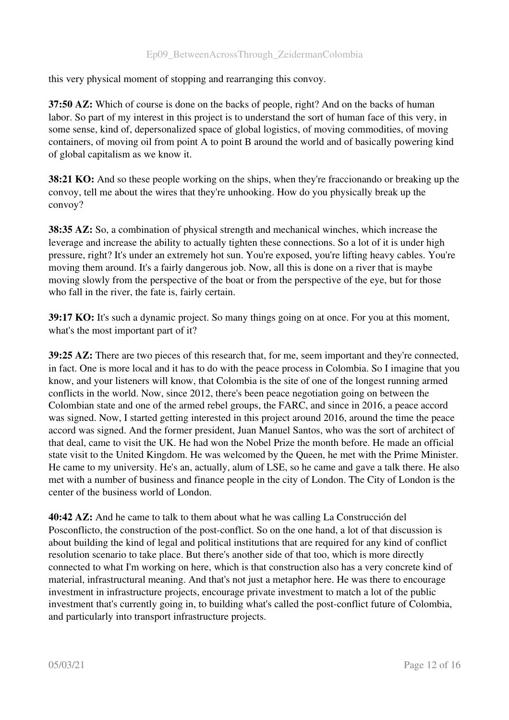this very physical moment of stopping and rearranging this convoy.

37:50 AZ: Which of course is done on the backs of people, right? And on the backs of human labor. So part of my interest in this project is to understand the sort of human face of this very, in some sense, kind of, depersonalized space of global logistics, of moving commodities, of moving containers, of moving oil from point A to point B around the world and of basically powering kind of global capitalism as we know it.

38:21 KO: And so these people working on the ships, when they're fraccionando or breaking up the convoy, tell me about the wires that they're unhooking. How do you physically break up the convoy?

38:35 AZ: So, a combination of physical strength and mechanical winches, which increase the leverage and increase the ability to actually tighten these connections. So a lot of it is under high pressure, right? It's under an extremely hot sun. You're exposed, you're lifting heavy cables. You're moving them around. It's a fairly dangerous job. Now, all this is done on a river that is maybe moving slowly from the perspective of the boat or from the perspective of the eye, but for those who fall in the river, the fate is, fairly certain.

39:17 KO: It's such a dynamic project. So many things going on at once. For you at this moment, what's the most important part of it?

39:25 AZ: There are two pieces of this research that, for me, seem important and they're connected, in fact. One is more local and it has to do with the peace process in Colombia. So I imagine that you know, and your listeners will know, that Colombia is the site of one of the longest running armed conflicts in the world. Now, since 2012, there's been peace negotiation going on between the Colombian state and one of the armed rebel groups, the FARC, and since in 2016, a peace accord was signed. Now, I started getting interested in this project around 2016, around the time the peace accord was signed. And the former president, Juan Manuel Santos, who was the sort of architect of that deal, came to visit the UK. He had won the Nobel Prize the month before. He made an official state visit to the United Kingdom. He was welcomed by the Queen, he met with the Prime Minister. He came to my university. He's an, actually, alum of LSE, so he came and gave a talk there. He also met with a number of business and finance people in the city of London. The City of London is the center of the business world of London.

40:42 AZ: And he came to talk to them about what he was calling La Construcción del Posconflicto, the construction of the post-conflict. So on the one hand, a lot of that discussion is about building the kind of legal and political institutions that are required for any kind of conflict resolution scenario to take place. But there's another side of that too, which is more directly connected to what I'm working on here, which is that construction also has a very concrete kind of material, infrastructural meaning. And that's not just a metaphor here. He was there to encourage investment in infrastructure projects, encourage private investment to match a lot of the public investment that's currently going in, to building what's called the post-conflict future of Colombia, and particularly into transport infrastructure projects.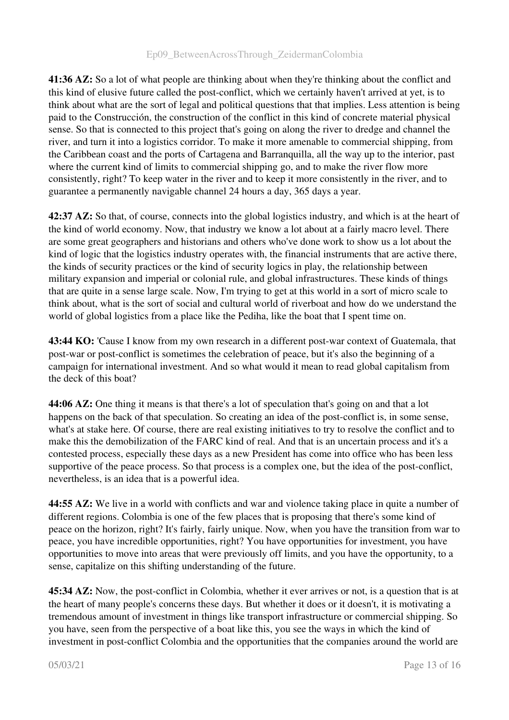41:36 AZ: So a lot of what people are thinking about when they're thinking about the conflict and this kind of elusive future called the post-conflict, which we certainly haven't arrived at yet, is to think about what are the sort of legal and political questions that that implies. Less attention is being paid to the Construcción, the construction of the conflict in this kind of concrete material physical sense. So that is connected to this project that's going on along the river to dredge and channel the river, and turn it into a logistics corridor. To make it more amenable to commercial shipping, from the Caribbean coast and the ports of Cartagena and Barranquilla, all the way up to the interior, past where the current kind of limits to commercial shipping go, and to make the river flow more consistently, right? To keep water in the river and to keep it more consistently in the river, and to guarantee a permanently navigable channel 24 hours a day, 365 days a year.

42:37 AZ: So that, of course, connects into the global logistics industry, and which is at the heart of the kind of world economy. Now, that industry we know a lot about at a fairly macro level. There are some great geographers and historians and others who've done work to show us a lot about the kind of logic that the logistics industry operates with, the financial instruments that are active there, the kinds of security practices or the kind of security logics in play, the relationship between military expansion and imperial or colonial rule, and global infrastructures. These kinds of things that are quite in a sense large scale. Now, I'm trying to get at this world in a sort of micro scale to think about, what is the sort of social and cultural world of riverboat and how do we understand the world of global logistics from a place like the Pediha, like the boat that I spent time on.

43:44 KO: 'Cause I know from my own research in a different post-war context of Guatemala, that post-war or post-conflict is sometimes the celebration of peace, but it's also the beginning of a campaign for international investment. And so what would it mean to read global capitalism from the deck of this boat?

44:06 AZ: One thing it means is that there's a lot of speculation that's going on and that a lot happens on the back of that speculation. So creating an idea of the post-conflict is, in some sense, what's at stake here. Of course, there are real existing initiatives to try to resolve the conflict and to make this the demobilization of the FARC kind of real. And that is an uncertain process and it's a contested process, especially these days as a new President has come into office who has been less supportive of the peace process. So that process is a complex one, but the idea of the post-conflict, nevertheless, is an idea that is a powerful idea.

44:55 AZ: We live in a world with conflicts and war and violence taking place in quite a number of different regions. Colombia is one of the few places that is proposing that there's some kind of peace on the horizon, right? It's fairly, fairly unique. Now, when you have the transition from war to peace, you have incredible opportunities, right? You have opportunities for investment, you have opportunities to move into areas that were previously off limits, and you have the opportunity, to a sense, capitalize on this shifting understanding of the future.

45:34 AZ: Now, the post-conflict in Colombia, whether it ever arrives or not, is a question that is at the heart of many people's concerns these days. But whether it does or it doesn't, it is motivating a tremendous amount of investment in things like transport infrastructure or commercial shipping. So you have, seen from the perspective of a boat like this, you see the ways in which the kind of investment in post-conflict Colombia and the opportunities that the companies around the world are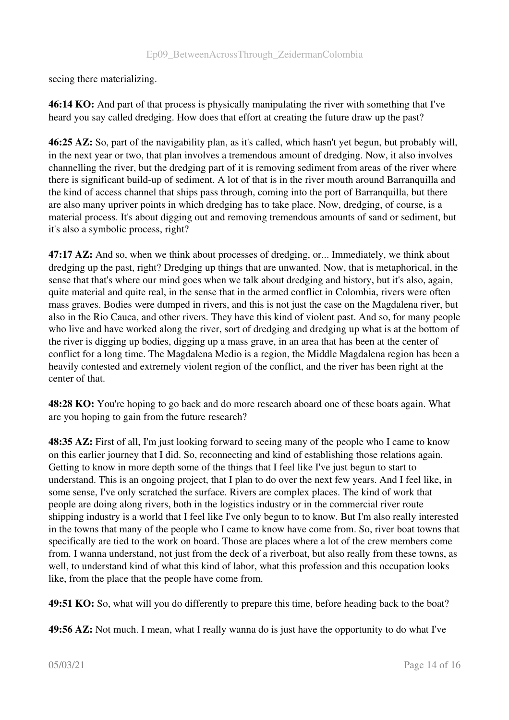seeing there materializing.

46:14 KO: And part of that process is physically manipulating the river with something that I've heard you say called dredging. How does that effort at creating the future draw up the past?

46:25 AZ: So, part of the navigability plan, as it's called, which hasn't yet begun, but probably will, in the next year or two, that plan involves a tremendous amount of dredging. Now, it also involves channelling the river, but the dredging part of it is removing sediment from areas of the river where there is significant build-up of sediment. A lot of that is in the river mouth around Barranquilla and the kind of access channel that ships pass through, coming into the port of Barranquilla, but there are also many upriver points in which dredging has to take place. Now, dredging, of course, is a material process. It's about digging out and removing tremendous amounts of sand or sediment, but it's also a symbolic process, right?

47:17 AZ: And so, when we think about processes of dredging, or... Immediately, we think about dredging up the past, right? Dredging up things that are unwanted. Now, that is metaphorical, in the sense that that's where our mind goes when we talk about dredging and history, but it's also, again, quite material and quite real, in the sense that in the armed conflict in Colombia, rivers were often mass graves. Bodies were dumped in rivers, and this is not just the case on the Magdalena river, but also in the Rio Cauca, and other rivers. They have this kind of violent past. And so, for many people who live and have worked along the river, sort of dredging and dredging up what is at the bottom of the river is digging up bodies, digging up a mass grave, in an area that has been at the center of conflict for a long time. The Magdalena Medio is a region, the Middle Magdalena region has been a heavily contested and extremely violent region of the conflict, and the river has been right at the center of that.

48:28 KO: You're hoping to go back and do more research aboard one of these boats again. What are you hoping to gain from the future research?

48:35 AZ: First of all, I'm just looking forward to seeing many of the people who I came to know on this earlier journey that I did. So, reconnecting and kind of establishing those relations again. Getting to know in more depth some of the things that I feel like I've just begun to start to understand. This is an ongoing project, that I plan to do over the next few years. And I feel like, in some sense, I've only scratched the surface. Rivers are complex places. The kind of work that people are doing along rivers, both in the logistics industry or in the commercial river route shipping industry is a world that I feel like I've only begun to to know. But I'm also really interested in the towns that many of the people who I came to know have come from. So, river boat towns that specifically are tied to the work on board. Those are places where a lot of the crew members come from. I wanna understand, not just from the deck of a riverboat, but also really from these towns, as well, to understand kind of what this kind of labor, what this profession and this occupation looks like, from the place that the people have come from.

49:51 KO: So, what will you do differently to prepare this time, before heading back to the boat?

49:56 AZ: Not much. I mean, what I really wanna do is just have the opportunity to do what I've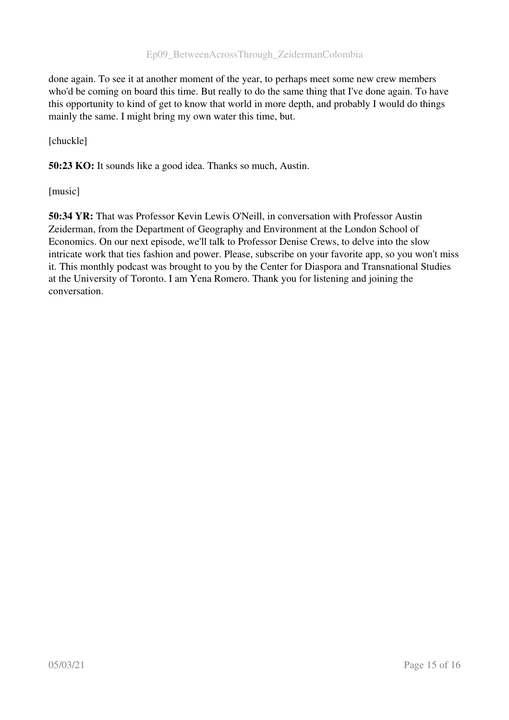done again. To see it at another moment of the year, to perhaps meet some new crew members who'd be coming on board this time. But really to do the same thing that I've done again. To have this opportunity to kind of get to know that world in more depth, and probably I would do things mainly the same. I might bring my own water this time, but.

[chuckle]

50:23 KO: It sounds like a good idea. Thanks so much, Austin.

[music]

50:34 YR: That was Professor Kevin Lewis O'Neill, in conversation with Professor Austin Zeiderman, from the Department of Geography and Environment at the London School of Economics. On our next episode, we'll talk to Professor Denise Crews, to delve into the slow intricate work that ties fashion and power. Please, subscribe on your favorite app, so you won't miss it. This monthly podcast was brought to you by the Center for Diaspora and Transnational Studies at the University of Toronto. I am Yena Romero. Thank you for listening and joining the conversation.